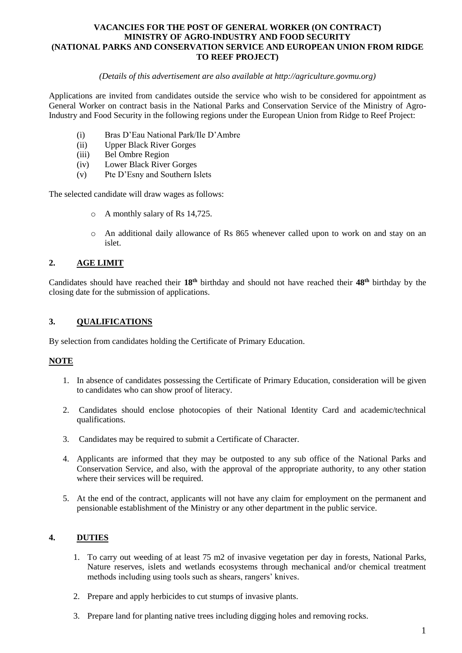#### **VACANCIES FOR THE POST OF GENERAL WORKER (ON CONTRACT) MINISTRY OF AGRO-INDUSTRY AND FOOD SECURITY (NATIONAL PARKS AND CONSERVATION SERVICE AND EUROPEAN UNION FROM RIDGE TO REEF PROJECT)**

#### *(Details of this advertisement are also available at http://agriculture.govmu.org)*

Applications are invited from candidates outside the service who wish to be considered for appointment as General Worker on contract basis in the National Parks and Conservation Service of the Ministry of Agro-Industry and Food Security in the following regions under the European Union from Ridge to Reef Project:

- (i) Bras D'Eau National Park/Ile D'Ambre
- (ii) Upper Black River Gorges
- (iii) Bel Ombre Region
- (iv) Lower Black River Gorges
- (v) Pte D'Esny and Southern Islets

The selected candidate will draw wages as follows:

- o A monthly salary of Rs 14,725.
- o An additional daily allowance of Rs 865 whenever called upon to work on and stay on an islet.

# **2. AGE LIMIT**

Candidates should have reached their **18th** birthday and should not have reached their **48 th** birthday by the closing date for the submission of applications.

# **3. QUALIFICATIONS**

By selection from candidates holding the Certificate of Primary Education.

# **NOTE**

- 1. In absence of candidates possessing the Certificate of Primary Education, consideration will be given to candidates who can show proof of literacy.
- 2. Candidates should enclose photocopies of their National Identity Card and academic/technical qualifications.
- 3. Candidates may be required to submit a Certificate of Character.
- 4. Applicants are informed that they may be outposted to any sub office of the National Parks and Conservation Service, and also, with the approval of the appropriate authority, to any other station where their services will be required.
- 5. At the end of the contract, applicants will not have any claim for employment on the permanent and pensionable establishment of the Ministry or any other department in the public service.

# **4. DUTIES**

- 1. To carry out weeding of at least 75 m2 of invasive vegetation per day in forests, National Parks, Nature reserves, islets and wetlands ecosystems through mechanical and/or chemical treatment methods including using tools such as shears, rangers' knives.
- 2. Prepare and apply herbicides to cut stumps of invasive plants.
- 3. Prepare land for planting native trees including digging holes and removing rocks.